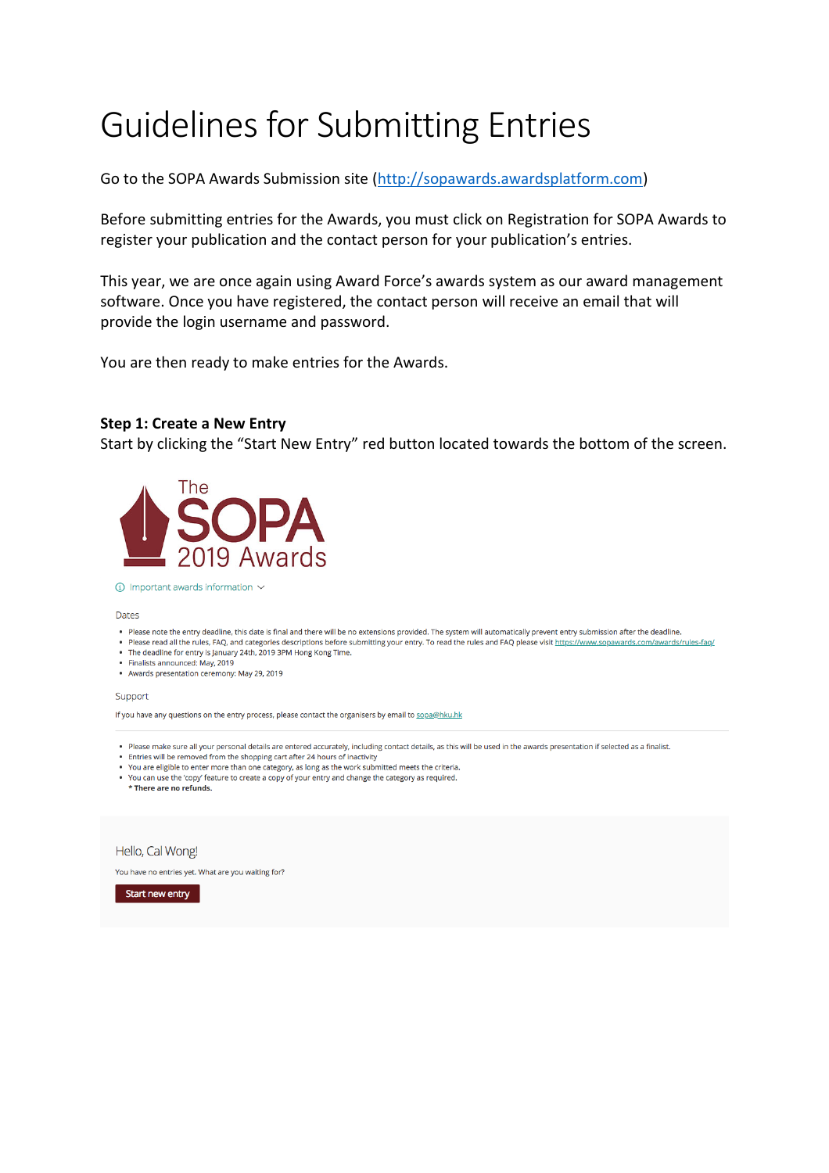# Guidelines for Submitting Entries

Go to the SOPA Awards Submission site [\(http://sopawards.awardsplatform.com\)](http://sopawards.awardsplatform.com/)

Before submitting entries for the Awards, you must click on Registration for SOPA Awards to register your publication and the contact person for your publication's entries.

This year, we are once again using Award Force's awards system as our award management software. Once you have registered, the contact person will receive an email that will provide the login username and password.

You are then ready to make entries for the Awards.

## **Step 1: Create a New Entry**

Start by clicking the "Start New Entry" red button located towards the bottom of the screen.



### $\circledR$  Important awards information  $\sim$

#### Dates

- . Please note the entry deadline, this date is final and there will be no extensions provided. The system will automatically prevent entry submission after the deadline.
- . Please read all the rules, FAQ, and categories descriptions before submitting your entry. To read the rules and FAQ please visit https://www.sopawards.com/awards/rules-faq/
- The deadline for entry is January 24th, 2019 3PM Hong Kong Time.
- · Finalists announced: May, 2019 . Awards presentation ceremony: May 29, 2019

### Support

If you have any questions on the entry process, please contact the organisers by email to sopa@hku.hk

- . Please make sure all your personal details are entered accurately, including contact details, as this will be used in the awards presentation if selected as a finalist.
- Entries will be removed from the shopping cart after 24 hours of inactivity
- . You are eligible to enter more than one category, as long as the work submitted meets the criteria.
- . You can use the 'copy' feature to create a copy of your entry and change the category as required. \* There are no refunds.

## Hello, Cal Wong!

You have no entries yet. What are you waiting for?

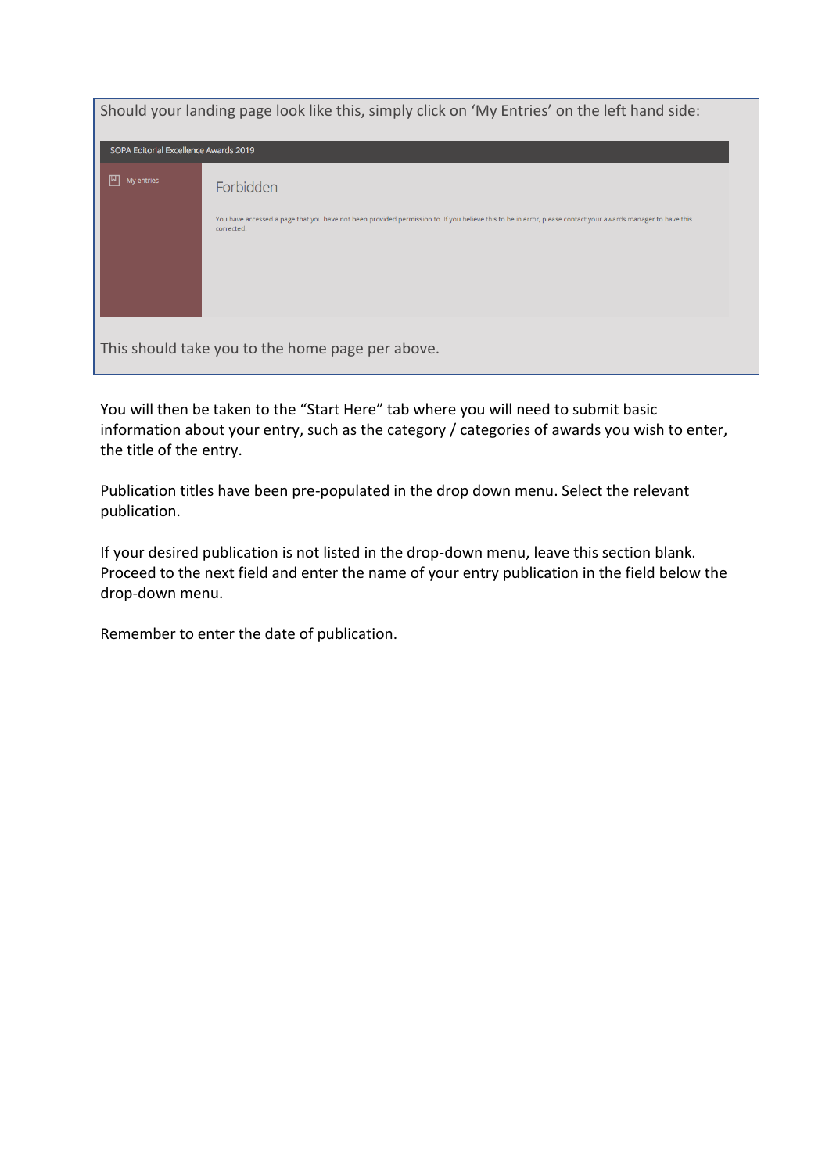| Should your landing page look like this, simply click on 'My Entries' on the left hand side: |                                                                                                                                                                           |  |  |
|----------------------------------------------------------------------------------------------|---------------------------------------------------------------------------------------------------------------------------------------------------------------------------|--|--|
| SOPA Editorial Excellence Awards 2019                                                        |                                                                                                                                                                           |  |  |
| 凹<br>My entries                                                                              | Forbidden                                                                                                                                                                 |  |  |
|                                                                                              | You have accessed a page that you have not been provided permission to. If you believe this to be in error, please contact your awards manager to have this<br>corrected. |  |  |
|                                                                                              | This should take you to the home page per above.                                                                                                                          |  |  |

You will then be taken to the "Start Here" tab where you will need to submit basic information about your entry, such as the category / categories of awards you wish to enter, the title of the entry.

Publication titles have been pre-populated in the drop down menu. Select the relevant publication.

If your desired publication is not listed in the drop-down menu, leave this section blank. Proceed to the next field and enter the name of your entry publication in the field below the drop-down menu.

Remember to enter the date of publication.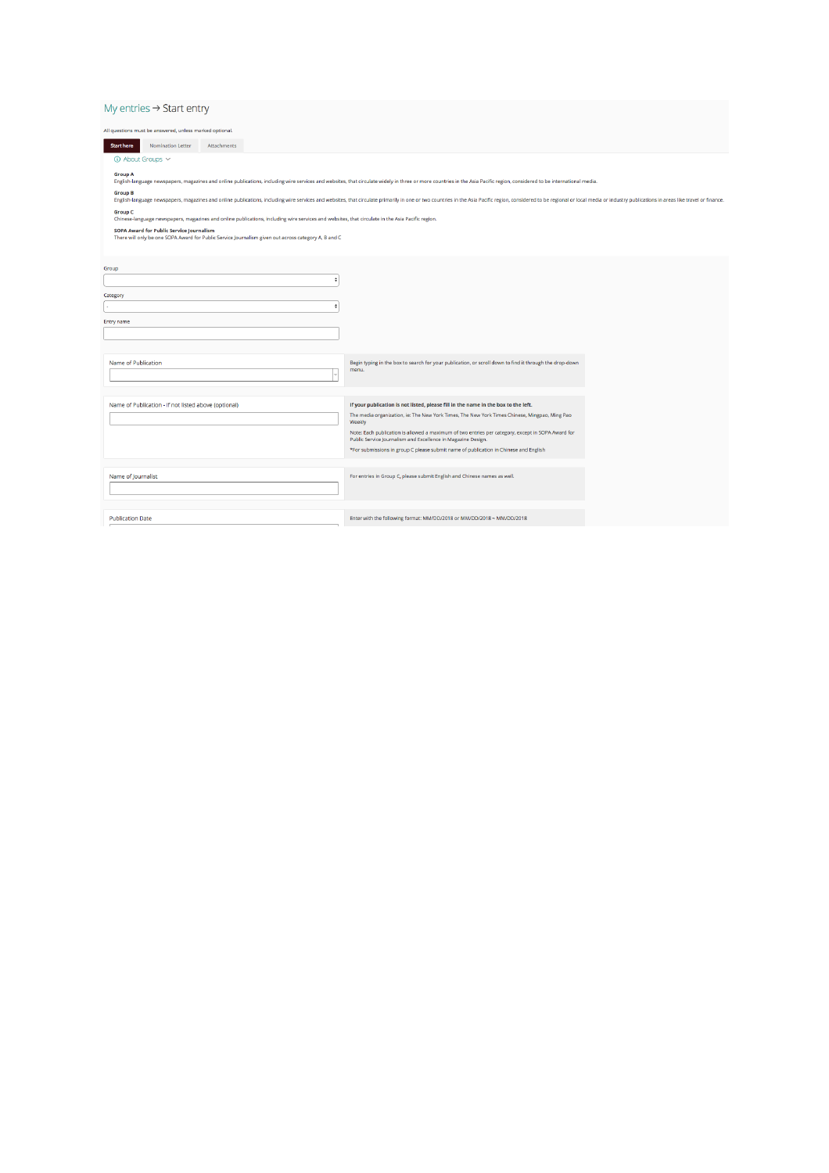## My entries  $\rightarrow$  Start entry

| All questions must be answered, unless marked optional. |             |                                                                                                                                                  |                                                                                                                                                                                                                                |  |
|---------------------------------------------------------|-------------|--------------------------------------------------------------------------------------------------------------------------------------------------|--------------------------------------------------------------------------------------------------------------------------------------------------------------------------------------------------------------------------------|--|
| <b>Start here</b><br><b>Nomination Letter</b>           | Attachments |                                                                                                                                                  |                                                                                                                                                                                                                                |  |
| 4 About Groups $\vee$                                   |             |                                                                                                                                                  |                                                                                                                                                                                                                                |  |
| <b>Group A</b>                                          |             |                                                                                                                                                  |                                                                                                                                                                                                                                |  |
| <b>Group B</b>                                          |             |                                                                                                                                                  | English-language newspapers, magazines and online publications, including wire services and websites, that circulate widely in three or more countries in the Asia Pacific region, considered to be international media.       |  |
|                                                         |             |                                                                                                                                                  | English-language newspapers, magazines and online publications, including wire services and websites, that circulate primarily in one or two countries in the Asia Pacific region, considered to be regional or local media or |  |
| <b>Group C</b>                                          |             | Chinese-language newspapers, magazines and online publications, including wire services and websites, that circulate in the Asia Pacific region. |                                                                                                                                                                                                                                |  |
| SOPA Award for Public Service Journalism                |             |                                                                                                                                                  |                                                                                                                                                                                                                                |  |
|                                                         |             | There will only be one SOPA Award for Public Service Journalism given out across category A, B and C                                             |                                                                                                                                                                                                                                |  |
|                                                         |             |                                                                                                                                                  |                                                                                                                                                                                                                                |  |
| Group                                                   |             |                                                                                                                                                  |                                                                                                                                                                                                                                |  |
|                                                         |             |                                                                                                                                                  |                                                                                                                                                                                                                                |  |
| Category                                                |             |                                                                                                                                                  |                                                                                                                                                                                                                                |  |
|                                                         |             |                                                                                                                                                  |                                                                                                                                                                                                                                |  |
| Entry name                                              |             |                                                                                                                                                  |                                                                                                                                                                                                                                |  |
|                                                         |             |                                                                                                                                                  |                                                                                                                                                                                                                                |  |
|                                                         |             |                                                                                                                                                  |                                                                                                                                                                                                                                |  |
| Name of Publication                                     |             |                                                                                                                                                  | Begin typing in the box to search for your publication, or scroll down to find it through the drop-down<br>menu.                                                                                                               |  |
|                                                         |             |                                                                                                                                                  |                                                                                                                                                                                                                                |  |
|                                                         |             |                                                                                                                                                  |                                                                                                                                                                                                                                |  |
| Name of Publication - If not listed above (optional)    |             |                                                                                                                                                  | If your publication is not listed, please fill in the name in the box to the left.                                                                                                                                             |  |
|                                                         |             |                                                                                                                                                  | The media organization, ie: The New York Times, The New York Times Chinese, Mingpao, Ming Pao<br>Weekly                                                                                                                        |  |
|                                                         |             |                                                                                                                                                  | Note: Each publication is allowed a maximum of two entries per category, except in SOPA Award for<br>Public Service Journalism and Excellence in Magazine Design.                                                              |  |
|                                                         |             |                                                                                                                                                  | *For submissions in group C please submit name of publication in Chinese and English                                                                                                                                           |  |
|                                                         |             |                                                                                                                                                  |                                                                                                                                                                                                                                |  |
| Name of Journalist                                      |             |                                                                                                                                                  | For entries in Group C, please submit English and Chinese names as well.                                                                                                                                                       |  |
|                                                         |             |                                                                                                                                                  |                                                                                                                                                                                                                                |  |
|                                                         |             |                                                                                                                                                  |                                                                                                                                                                                                                                |  |
| <b>Publication Date</b>                                 |             |                                                                                                                                                  | Enter with the following format: MM/DD/2018 or MM/DD/2018 ~ MM/DD/2018                                                                                                                                                         |  |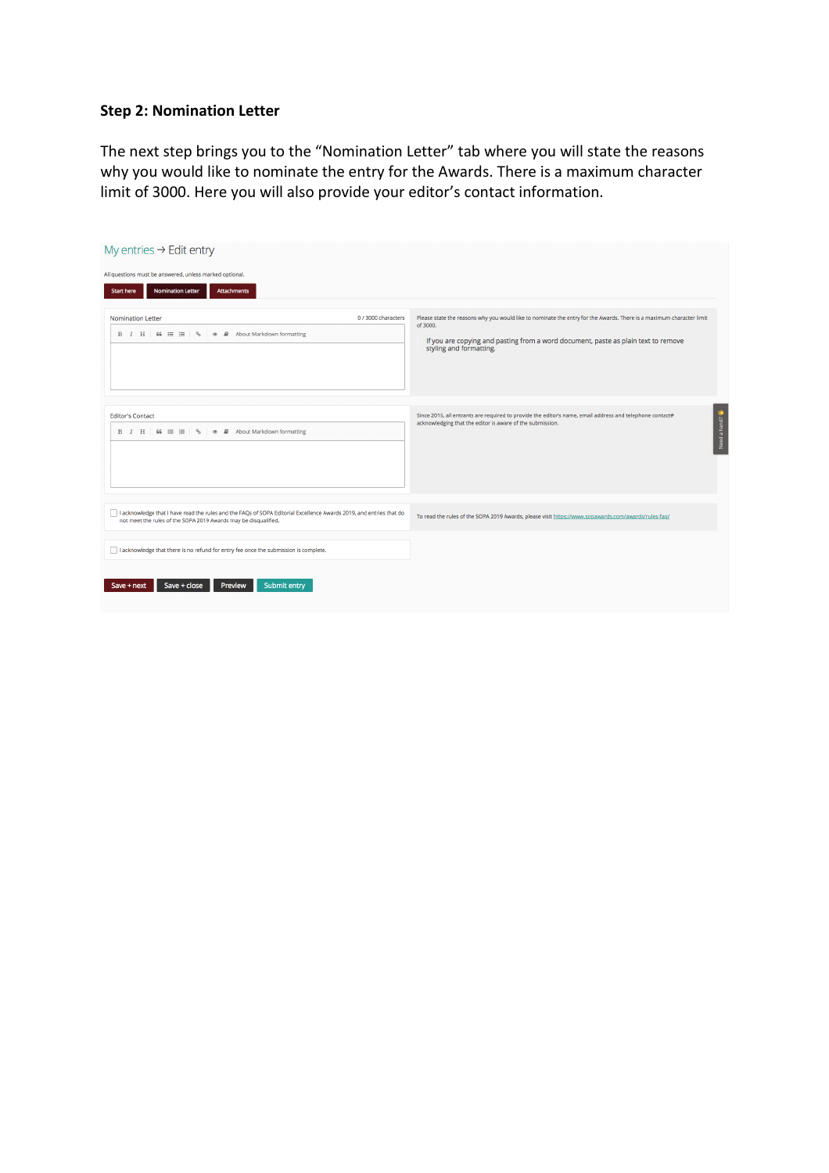# **Step 2: Nomination Letter**

The next step brings you to the "Nomination Letter" tab where you will state the reasons why you would like to nominate the entry for the Awards. There is a maximum character limit of 3000. Here you will also provide your editor's contact information.

| My entries $\rightarrow$ Edit entry                                                                                                                                                    |                                                                                                                                                                                                                                                   |  |  |  |  |
|----------------------------------------------------------------------------------------------------------------------------------------------------------------------------------------|---------------------------------------------------------------------------------------------------------------------------------------------------------------------------------------------------------------------------------------------------|--|--|--|--|
| All questions must be answered, unless marked optional.                                                                                                                                |                                                                                                                                                                                                                                                   |  |  |  |  |
| <b>Nomination Letter</b><br><b>Attachments</b><br><b>Start here</b>                                                                                                                    |                                                                                                                                                                                                                                                   |  |  |  |  |
| 0 / 3000 characters<br><b>Nomination Letter</b><br>$B$ $I$ $H$ 66 $\equiv$ $\equiv$ $\sim$ $\infty$ $\infty$ About Markdown formatting                                                 | Please state the reasons why you would like to nominate the entry for the Awards. There is a maximum character limit<br>of 3000.<br>If you are copying and pasting from a word document, paste as plain text to remove<br>styling and formatting. |  |  |  |  |
| <b>Editor's Contact</b><br>$B$ $I$ $H$ 66 $\equiv$ $\equiv$ $\sim$ $\bullet$ $\equiv$ About Markdown formatting                                                                        | Need a hand?<br>Since 2015, all entrants are required to provide the editor's name, email address and telephone contact#<br>acknowledging that the editor is aware of the submission.                                                             |  |  |  |  |
| I acknowledge that I have read the rules and the FAQs of SOPA Editorial Excellence Awards 2019, and entries that do<br>not meet the rules of the SOPA 2019 Awards may be disqualified. | To read the rules of the SOPA 2019 Awards, please visit https://www.sopawards.com/awards/rules-faq/                                                                                                                                               |  |  |  |  |
| □ I acknowledge that there is no refund for entry fee once the submission is complete.                                                                                                 |                                                                                                                                                                                                                                                   |  |  |  |  |
| Preview<br>Save + close<br>Submit entry<br>Save + next                                                                                                                                 |                                                                                                                                                                                                                                                   |  |  |  |  |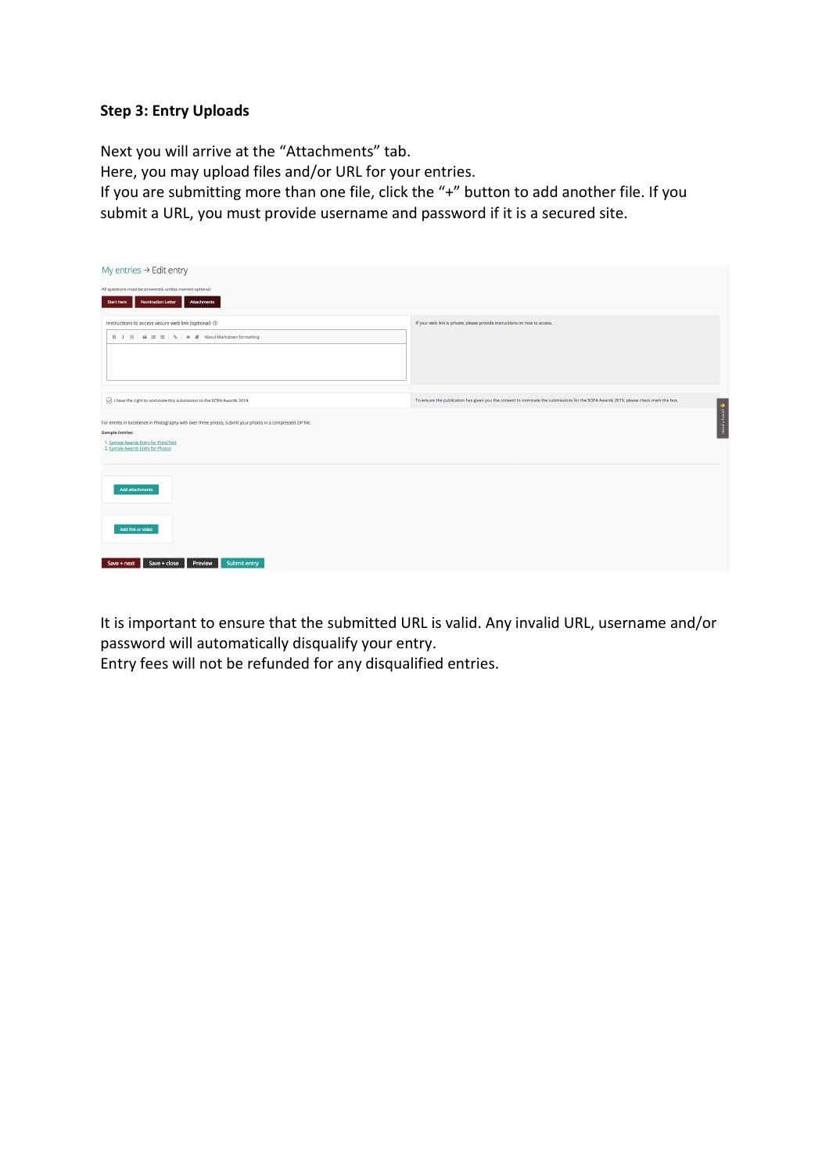# **Step 3: Entry Uploads**

Next you will arrive at the "Attachments" tab. Here, you may upload files and/or URL for your entries. If you are submitting more than one file, click the "+" button to add another file. If you submit a URL, you must provide username and password if it is a secured site.

| My entries $\rightarrow$ Edit entry                                                                           |                                                                                                                                      |  |  |  |  |  |
|---------------------------------------------------------------------------------------------------------------|--------------------------------------------------------------------------------------------------------------------------------------|--|--|--|--|--|
| All questions must be answered, unless marked optional.                                                       |                                                                                                                                      |  |  |  |  |  |
| <b>Nomination Letter</b><br>Attachments<br>Start here                                                         |                                                                                                                                      |  |  |  |  |  |
| Instructions to access secure web link (optional) $\odot$                                                     | If your web link is private, please provide instructions on how to access.                                                           |  |  |  |  |  |
| $B$ $I$ $H$ 66 $\equiv$ $\equiv$ $\sim$ $\bullet$ $\equiv$ About Markdown formatting                          |                                                                                                                                      |  |  |  |  |  |
|                                                                                                               |                                                                                                                                      |  |  |  |  |  |
|                                                                                                               |                                                                                                                                      |  |  |  |  |  |
|                                                                                                               |                                                                                                                                      |  |  |  |  |  |
| $\sqrt{\phantom{a}}$ I have the right to nominate this submission to the SOPA Awards 2019.                    | To ensure the publication has given you the consent to nominate the submissions for the SOPA Awards 2019, please check mark the box. |  |  |  |  |  |
| For entries in Excellence in Photography with over three photos, submit your photos in a compressed ZIP file. | Need a hand?                                                                                                                         |  |  |  |  |  |
| <b>Sample Entries:</b>                                                                                        |                                                                                                                                      |  |  |  |  |  |
| 1. Sample Awards Entry for Print/Text<br>2. Sample Awards Entry for Photos                                    |                                                                                                                                      |  |  |  |  |  |
|                                                                                                               |                                                                                                                                      |  |  |  |  |  |
| Add attachments                                                                                               |                                                                                                                                      |  |  |  |  |  |
| Add link or video                                                                                             |                                                                                                                                      |  |  |  |  |  |
| Preview<br>Save + close<br>Submit entry<br>Save + next                                                        |                                                                                                                                      |  |  |  |  |  |
|                                                                                                               |                                                                                                                                      |  |  |  |  |  |

It is important to ensure that the submitted URL is valid. Any invalid URL, username and/or password will automatically disqualify your entry.

Entry fees will not be refunded for any disqualified entries.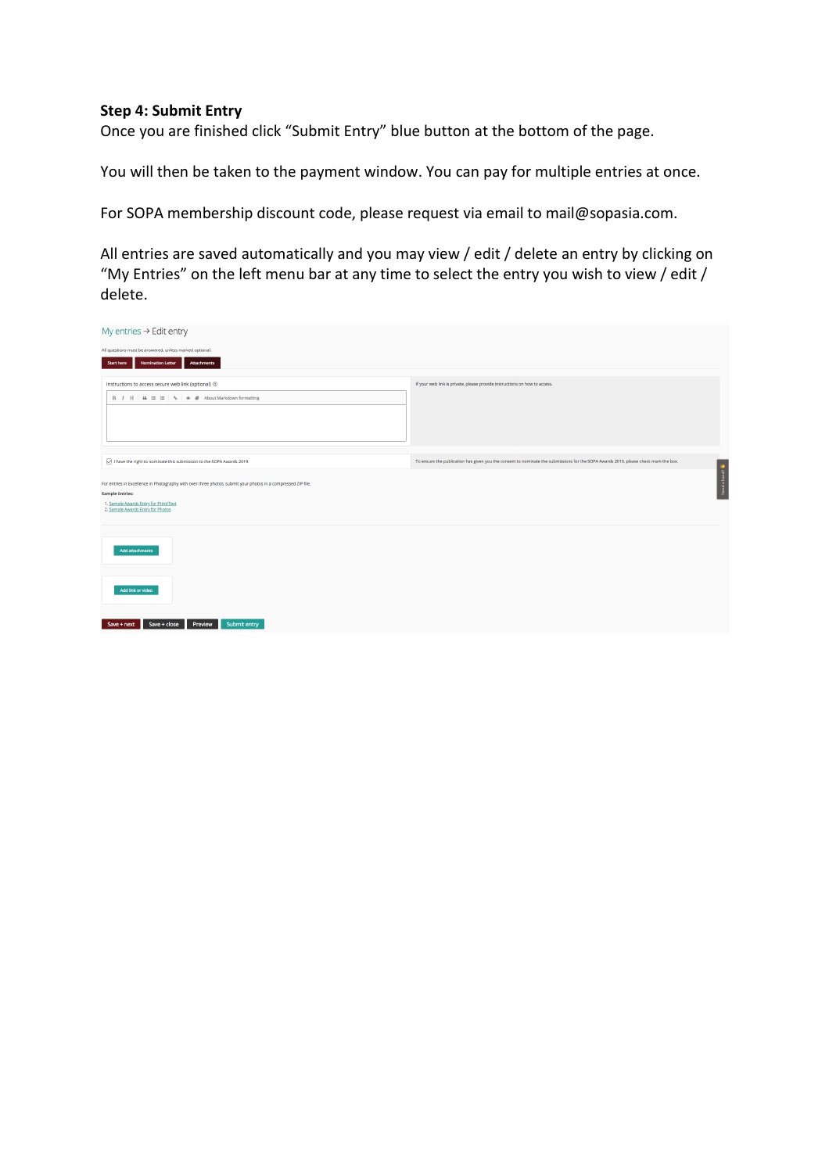# **Step 4: Submit Entry**

Once you are finished click "Submit Entry" blue button at the bottom of the page.

You will then be taken to the payment window. You can pay for multiple entries at once.

For SOPA membership discount code, please request via email to mail@sopasia.com.

All entries are saved automatically and you may view / edit / delete an entry by clicking on "My Entries" on the left menu bar at any time to select the entry you wish to view / edit / delete.

| My entries $\rightarrow$ Edit entry                                                                           |                                                                                                                                      |  |  |  |  |  |
|---------------------------------------------------------------------------------------------------------------|--------------------------------------------------------------------------------------------------------------------------------------|--|--|--|--|--|
| All questions must be answered, unless marked optional.                                                       |                                                                                                                                      |  |  |  |  |  |
| <b>Nomination Letter</b><br><b>Start here</b><br><b>Attachments</b>                                           |                                                                                                                                      |  |  |  |  |  |
| Instructions to access secure web link (optional) $\circledcirc$                                              | If your web link is private, please provide instructions on how to access.                                                           |  |  |  |  |  |
| $B$ $I$ $H$ $\mid$ 66 $\equiv$ $\mid$ $\equiv$ $\mid$ % $\mid$ $\gg$ $\#$ About Markdown formatting           |                                                                                                                                      |  |  |  |  |  |
|                                                                                                               |                                                                                                                                      |  |  |  |  |  |
|                                                                                                               |                                                                                                                                      |  |  |  |  |  |
|                                                                                                               |                                                                                                                                      |  |  |  |  |  |
| I have the right to nominate this submission to the SOPA Awards 2019.                                         | To ensure the publication has given you the consent to nominate the submissions for the SOPA Awards 2019, please check mark the box. |  |  |  |  |  |
| For entries in Excellence in Photography with over three photos, submit your photos in a compressed ZIP file. | Need a hand?                                                                                                                         |  |  |  |  |  |
| <b>Sample Entries:</b>                                                                                        |                                                                                                                                      |  |  |  |  |  |
| 1. Sample Awards Entry for Print/Text<br>2. Sample Awards Entry for Photos                                    |                                                                                                                                      |  |  |  |  |  |
|                                                                                                               |                                                                                                                                      |  |  |  |  |  |
|                                                                                                               |                                                                                                                                      |  |  |  |  |  |
| <b>Add attachments</b>                                                                                        |                                                                                                                                      |  |  |  |  |  |
|                                                                                                               |                                                                                                                                      |  |  |  |  |  |
| Add link or video                                                                                             |                                                                                                                                      |  |  |  |  |  |
|                                                                                                               |                                                                                                                                      |  |  |  |  |  |
| Save + close<br>Preview<br>Submit entry<br>Save + next                                                        |                                                                                                                                      |  |  |  |  |  |